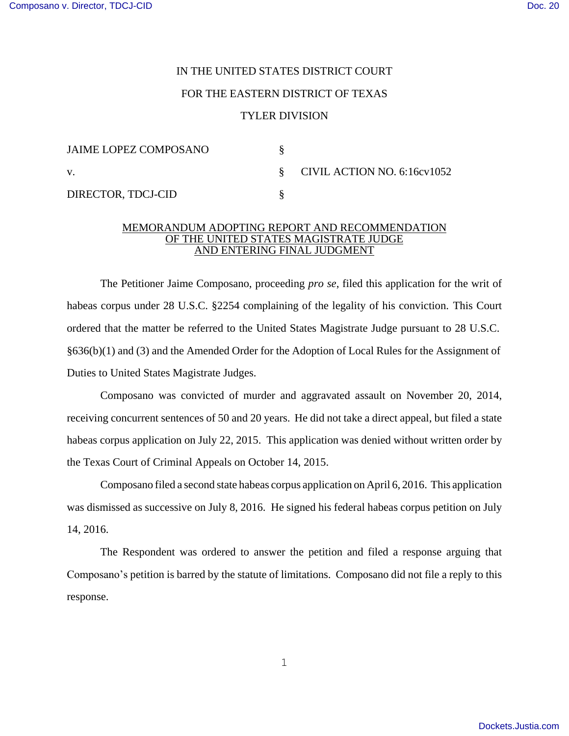## IN THE UNITED STATES DISTRICT COURT

## FOR THE EASTERN DISTRICT OF TEXAS

## TYLER DIVISION

| <b>JAIME LOPEZ COMPOSANO</b> |                               |
|------------------------------|-------------------------------|
| V.                           | § CIVIL ACTION NO. 6:16cv1052 |
| DIRECTOR, TDCJ-CID           |                               |

## MEMORANDUM ADOPTING REPORT AND RECOMMENDATION OF THE UNITED STATES MAGISTRATE JUDGE AND ENTERING FINAL JUDGMENT

The Petitioner Jaime Composano, proceeding *pro se*, filed this application for the writ of habeas corpus under 28 U.S.C. §2254 complaining of the legality of his conviction. This Court ordered that the matter be referred to the United States Magistrate Judge pursuant to 28 U.S.C. §636(b)(1) and (3) and the Amended Order for the Adoption of Local Rules for the Assignment of Duties to United States Magistrate Judges.

Composano was convicted of murder and aggravated assault on November 20, 2014, receiving concurrent sentences of 50 and 20 years. He did not take a direct appeal, but filed a state habeas corpus application on July 22, 2015. This application was denied without written order by the Texas Court of Criminal Appeals on October 14, 2015.

Composano filed a second state habeas corpus application on April 6, 2016. This application was dismissed as successive on July 8, 2016. He signed his federal habeas corpus petition on July 14, 2016.

The Respondent was ordered to answer the petition and filed a response arguing that Composano's petition is barred by the statute of limitations. Composano did not file a reply to this response.